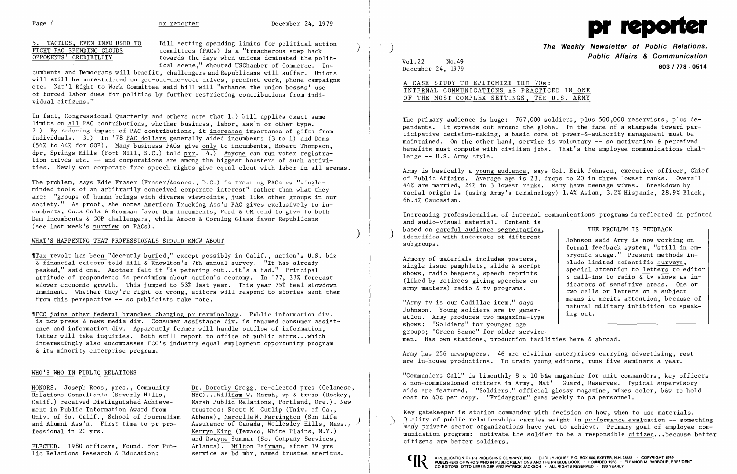

5. TACTICS, EVEN INFO USED TO Bill setting spending limits for political action  $\overline{\text{FIGHT PAC SPENDING CLOUDS}}$  committees (PACs) is a "treacherous step back towards the days when unions dominated the polittowards the days when unions dominated the political scene," shouted USChamber of Commerce. In-

cumbents and Democrats will benefit, challengers and Republicans will suffer. Unions will still be unrestricted on get-out-the-vote drives, precinct work, phone campaigns etc. Nat'l Right to Work Committee said bill will "enhance the union bosses' use of forced labor dues for politics by further restricting contributions from individual citizens."

In fact, Congressional Quarterly and others note that 1.) bill applies exact same limits on all PAC contributions, whether business, labor, ass'n or other type. 2.) By reducing impact of PAC contributions, it increases importance of gifts from individuals. 3.) In '78 PAC dollars generally aided incumbents (3 to 1) and Dems (56% to 44% for GOP). Many business PACs give only to incumbents, Robert Thompson, dpr, Springs Mills (Fort Mill, S.C.) told  $prr$ .  $\overline{4.)}$  Anyone can run voter registration drives etc. -- and corporations are among the biggest boosters of such activities. Newly won corporate free speech rights give equal clout with labor in all arenas.

The problem, says Edie Fraser (Fraser/Assocs., D.C.) is treating PACs as "singleminded tools of an arbitrarily conceived corporate interest" rather than what they are: "groups of human beings with diverse viewpoints, just like other groups in our society." As proof, she notes American Trucking Ass'n PAC gives exclusively to incumbents, Coca Cola & Grumman favor Dem incumbents, Ford & GM tend to give to both Dem incumbents & GOP challengers, while Amoco & Corning Glass favor Republicans (see last week's purview on PACs).

HONORS. Joseph Roos, pres., Community  $\frac{Dr. Dorothy~Gregg}{NYC)...William~W. \text{ Marsh, vp~\&\, trees (Rockey, c)}$ Relations Consultants (Beverly Hills,  $\overline{Nyc}) \dots \underline{William} W$ . Marsh, vp & treas (Rockey, Calif.) received Distinguished Achieve- Marsh Public Relations, Portland, Ore.). New Marsh Public Relations, Portland, Ore.). New Assurance of Canada, Wellesley Hills, Mass.; and Dwayne Summar (So. Company Services, lic Relations Research & Education: service as bd mbr, named trustee emeritus.

) **The Weekly Newsletter of Public Relations, Public Affairs & Communication**  pecember 24, 1979<br>December 24, 1979

)

## WHAT'S HAPPENING THAT PROFESSIONALS SHOULD KNOW ABOUT

## A CASE STUDY TO EPITOMIZE THE 70s: INTERNAL COMMUNICATIONS AS PRACTICED IN ONE OF THE MOST COMPLEX SETTINGS, THE U.S. ARMY

~[Tax revolt has been "decently buried," except possibly in Calif., nation's U. S. biz & financial editors told Hill & Knowlton's 7th annual survey. "It has already peaked," said one. Another felt it "is petering out. .. it's a fad." Principal attitude of respondents is pessimism about nation's economy. In '77, 33% forecast slower economic growth. This jumped to 53% last year. This year 75% feel slowdown imminent. Whether they're right or wrong, editors will respond to stories sent them from this perspective -- so publicists take note.

Increasing professionalism of internal communications programs is reflected in printed and audio-visual material. Content is<br>based on careful audience segmentation. based on <u>careful audience segmentation</u>,<br>identifies with interests of different<br>subgroups.<br>Armoun of patentials inaly<br>decree as subgroups. formal feedback system, "still in em-<br>bryonic stage." Present methods in-Armory of materials includes posters,<br>
single issue pamphlets, slide  $\δ$  script<br>
shows, radio beepers, speech reprints<br>
(liked by retirees giving speeches on<br>
army matters) radio  $\δ$  ty programs<br>
army matters) radio army matters) radio & tv programs.<br>
two calls or letters on a subject<br>
two calls or letters on a subject<br>
means it merits attention, because of Which is our Cadillac item," says indural military inhibition to speak-<br>Johnson. Young soldiers are tv gener-<br>ing out.

~IFCC joins other federal branches changing pr terminology. Public information dive is now press & news media div. Consumer assistance div. is renamed consumer assistance and information div. Apparently former will handle outflow of information, latter will take inquiries. Both still report to office of public affrs...which interestingly also encompasses FCC's industry equal employment opportunity program & its minority enterprise program.

ation. Army produces two magazine-type shows: "Soldiers" for younger age groups; "Green Scene" for older servicemen. Has own stations, production facilities here & abroad.

## WHO'S WHO IN PUBLIC RELATIONS

ment in Public Information Award from trustees: Scott M. Cutlip (Univ. of Ga., Univ. of So. Calif., School of Journalism Athens), Marcelle W. Farrington (Sun Life and Alumni Ass'n. First time to pr pro- Assurance of Canada, Wellesley Hills, Mas fessional in 20 yrs. Kerryn King (Texaco, White Plains, N.Y.)

ELECTED. 1980 officers, Found. for Pub- Atlanta). Milton Fairman, after 19 yrs

Vol.22 No.49

 $\sim t$  .

The primary audience is huge: 767,000 soldiers, plus 500,000 reservists, plus dependents. It spreads out around the globe. In the face of a stampede toward participative decision-making, a basic core of power-&-authority management must be maintained. On the other hand, service is voluntary -- so motivation & perceived benefits must compute with civilian jobs. That's the employee communications challenge -- U.S. Army style.

Army is basically a young audience, says Col. Erik Johnson, executive officer, Chief of Public Affairs. Average age is 23, drops to 20 in three lowest ranks. Overall 44% are married, 24% in 3 lowest ranks. Many have teenage wives. Breakdown by racial origin is (using Army's terminology) 1.4% Asian, 3.2% Hispanic, 28.9% Black, 66.5% Caucasian.

Army has 256 newspapers. 46 are civilian enterprises carrying advertising, rest are in-house productions. To train young editors, runs five seminars a year.

"Commanders Call" is bimonthly 8 x 10 b&w magazine for unit commanders, key officers & non-commissioned officers in Army, Nat'l Guard, Reserves. Typical supervisory aids are featured. "Soldiers," official glossy magazine, mixes color, b&w to hold cost to 40¢ per copy. "Fridaygram" goes weekly to pa personnel.

Key gatekeeper is station commander with decision on how, when to use materials.  $\eta$ uality of public relationships carries weight in performance evaluation  $-$ - something many private sector organizations have yet to achieve. Primary goal of employee communication program: motivate the soldier to be a responsible citizen..• because better citizens are better soldiers.